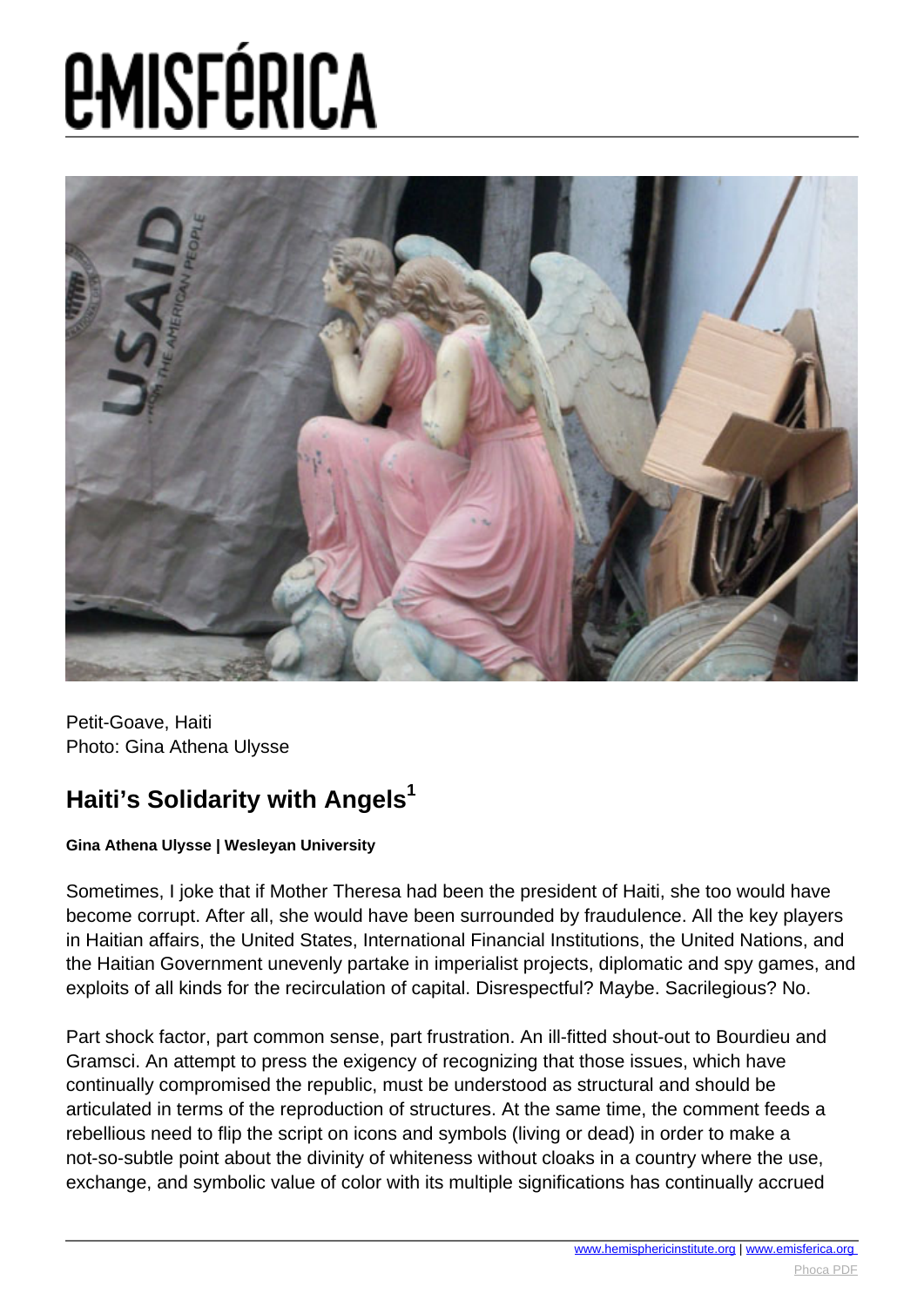# **EMISFÉRICA**



Petit-Goave, Haiti Photo: Gina Athena Ulysse

### **Haiti's Solidarity with Angels<sup>1</sup>**

#### **Gina Athena Ulysse | Wesleyan University**

Sometimes, I joke that if Mother Theresa had been the president of Haiti, she too would have become corrupt. After all, she would have been surrounded by fraudulence. All the key players in Haitian affairs, the United States, International Financial Institutions, the United Nations, and the Haitian Government unevenly partake in imperialist projects, diplomatic and spy games, and exploits of all kinds for the recirculation of capital. Disrespectful? Maybe. Sacrilegious? No.

Part shock factor, part common sense, part frustration. An ill-fitted shout-out to Bourdieu and Gramsci. An attempt to press the exigency of recognizing that those issues, which have continually compromised the republic, must be understood as structural and should be articulated in terms of the reproduction of structures. At the same time, the comment feeds a rebellious need to flip the script on icons and symbols (living or dead) in order to make a not-so-subtle point about the divinity of whiteness without cloaks in a country where the use, exchange, and symbolic value of color with its multiple significations has continually accrued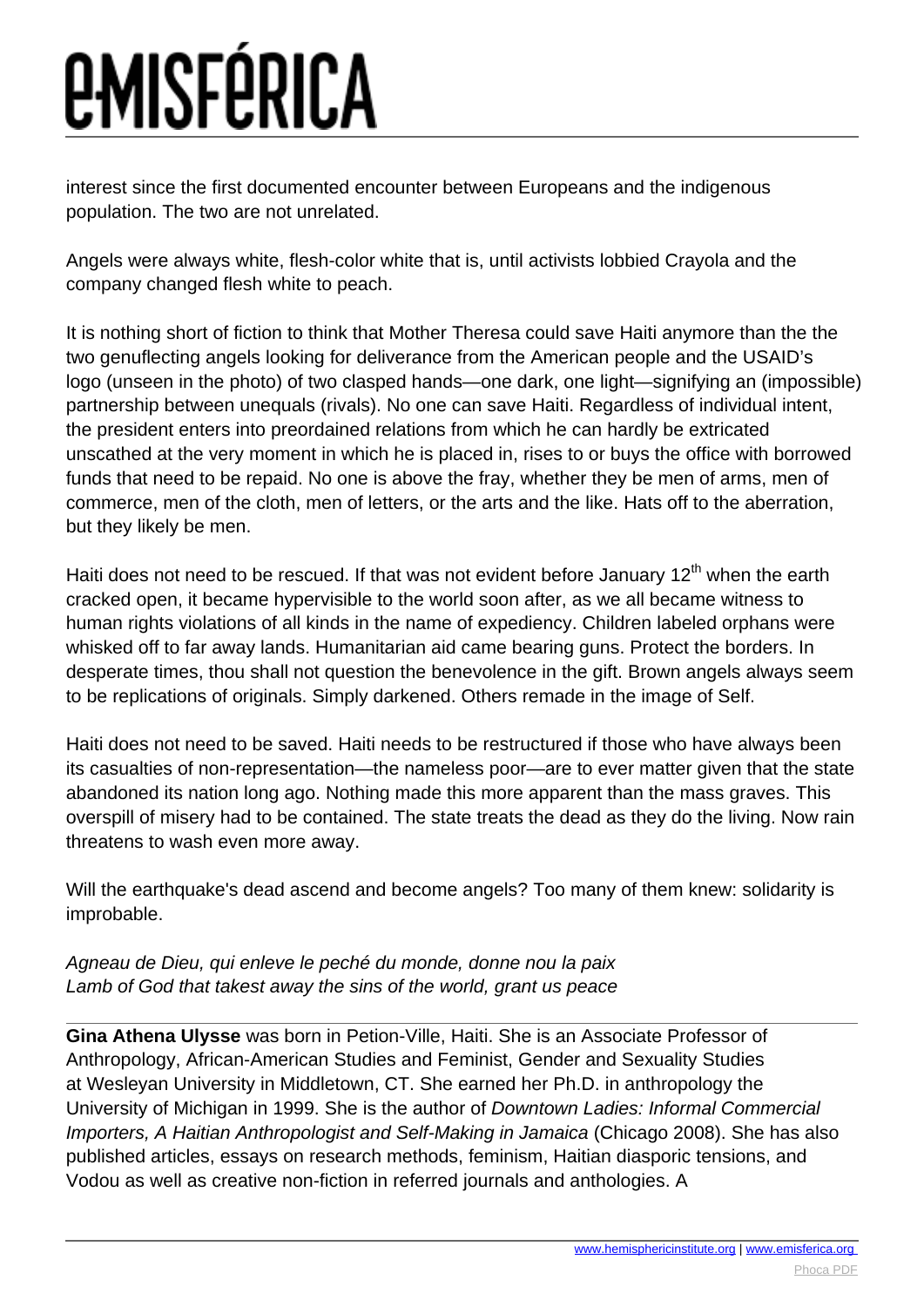## *EMISFÉRICA*

interest since the first documented encounter between Europeans and the indigenous population. The two are not unrelated.

Angels were always white, flesh-color white that is, until activists lobbied Crayola and the company changed flesh white to peach.

It is nothing short of fiction to think that Mother Theresa could save Haiti anymore than the the two genuflecting angels looking for deliverance from the American people and the USAID's logo (unseen in the photo) of two clasped hands—one dark, one light—signifying an (impossible) partnership between unequals (rivals). No one can save Haiti. Regardless of individual intent, the president enters into preordained relations from which he can hardly be extricated unscathed at the very moment in which he is placed in, rises to or buys the office with borrowed funds that need to be repaid. No one is above the fray, whether they be men of arms, men of commerce, men of the cloth, men of letters, or the arts and the like. Hats off to the aberration, but they likely be men.

Haiti does not need to be rescued. If that was not evident before January  $12<sup>th</sup>$  when the earth cracked open, it became hypervisible to the world soon after, as we all became witness to human rights violations of all kinds in the name of expediency. Children labeled orphans were whisked off to far away lands. Humanitarian aid came bearing guns. Protect the borders. In desperate times, thou shall not question the benevolence in the gift. Brown angels always seem to be replications of originals. Simply darkened. Others remade in the image of Self.

Haiti does not need to be saved. Haiti needs to be restructured if those who have always been its casualties of non-representation—the nameless poor—are to ever matter given that the state abandoned its nation long ago. Nothing made this more apparent than the mass graves. This overspill of misery had to be contained. The state treats the dead as they do the living. Now rain threatens to wash even more away.

Will the earthquake's dead ascend and become angels? Too many of them knew: solidarity is improbable.

Agneau de Dieu, qui enleve le peché du monde, donne nou la paix Lamb of God that takest away the sins of the world, grant us peace

**Gina Athena Ulysse** was born in Petion-Ville, Haiti. She is an Associate Professor of Anthropology, African-American Studies and Feminist, Gender and Sexuality Studies at Wesleyan University in Middletown, CT. She earned her Ph.D. in anthropology the University of Michigan in 1999. She is the author of Downtown Ladies: Informal Commercial Importers, A Haitian Anthropologist and Self-Making in Jamaica (Chicago 2008). She has also published articles, essays on research methods, feminism, Haitian diasporic tensions, and Vodou as well as creative non-fiction in referred journals and anthologies. A